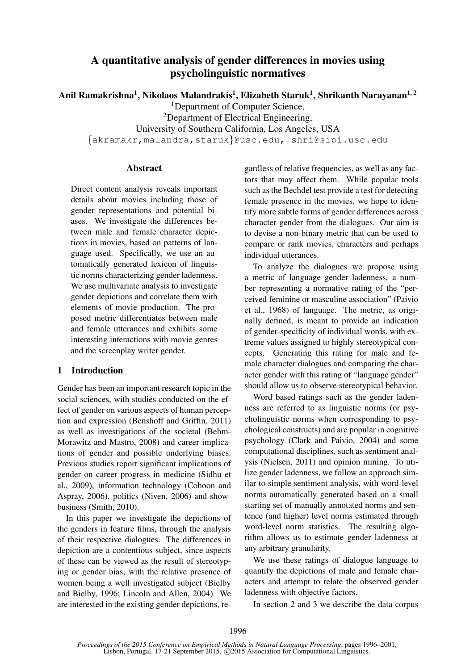# A quantitative analysis of gender differences in movies using psycholinguistic normatives

Anil Ramakrishna $^1$ , Nikolaos Malandrakis $^1$ , Elizabeth Staruk $^1$ , Shrikanth Narayanan $^{1,\,2}$ 

<sup>1</sup>Department of Computer Science,

<sup>2</sup>Department of Electrical Engineering,

University of Southern California, Los Angeles, USA

{akramakr,malandra,staruk}@usc.edu, shri@sipi.usc.edu

## **Abstract**

Direct content analysis reveals important details about movies including those of gender representations and potential biases. We investigate the differences between male and female character depictions in movies, based on patterns of language used. Specifically, we use an automatically generated lexicon of linguistic norms characterizing gender ladenness. We use multivariate analysis to investigate gender depictions and correlate them with elements of movie production. The proposed metric differentiates between male and female utterances and exhibits some interesting interactions with movie genres and the screenplay writer gender.

# 1 Introduction

Gender has been an important research topic in the social sciences, with studies conducted on the effect of gender on various aspects of human perception and expression (Benshoff and Griffin, 2011) as well as investigations of the societal (Behm-Morawitz and Mastro, 2008) and career implications of gender and possible underlying biases. Previous studies report significant implications of gender on career progress in medicine (Sidhu et al., 2009), information technology (Cohoon and Aspray, 2006), politics (Niven, 2006) and showbusiness (Smith, 2010).

In this paper we investigate the depictions of the genders in feature films, through the analysis of their respective dialogues. The differences in depiction are a contentious subject, since aspects of these can be viewed as the result of stereotyping or gender bias, with the relative presence of women being a well investigated subject (Bielby and Bielby, 1996; Lincoln and Allen, 2004). We are interested in the existing gender depictions, regardless of relative frequencies, as well as any factors that may affect them. While popular tools such as the Bechdel test provide a test for detecting female presence in the movies, we hope to identify more subtle forms of gender differences across character gender from the dialogues. Our aim is to devise a non-binary metric that can be used to compare or rank movies, characters and perhaps individual utterances.

To analyze the dialogues we propose using a metric of language gender ladenness, a number representing a normative rating of the "perceived feminine or masculine association" (Paivio et al., 1968) of language. The metric, as originally defined, is meant to provide an indication of gender-specificity of individual words, with extreme values assigned to highly stereotypical concepts. Generating this rating for male and female character dialogues and comparing the character gender with this rating of "language gender" should allow us to observe stereotypical behavior.

Word based ratings such as the gender ladenness are referred to as linguistic norms (or psycholinguistic norms when corresponding to psychological constructs) and are popular in cognitive psychology (Clark and Paivio, 2004) and some computational disciplines, such as sentiment analysis (Nielsen, 2011) and opinion mining. To utilize gender ladenness, we follow an approach similar to simple sentiment analysis, with word-level norms automatically generated based on a small starting set of manually annotated norms and sentence (and higher) level norms estimated through word-level norm statistics. The resulting algorithm allows us to estimate gender ladenness at any arbitrary granularity.

We use these ratings of dialogue language to quantify the depictions of male and female characters and attempt to relate the observed gender ladenness with objective factors.

In section 2 and 3 we describe the data corpus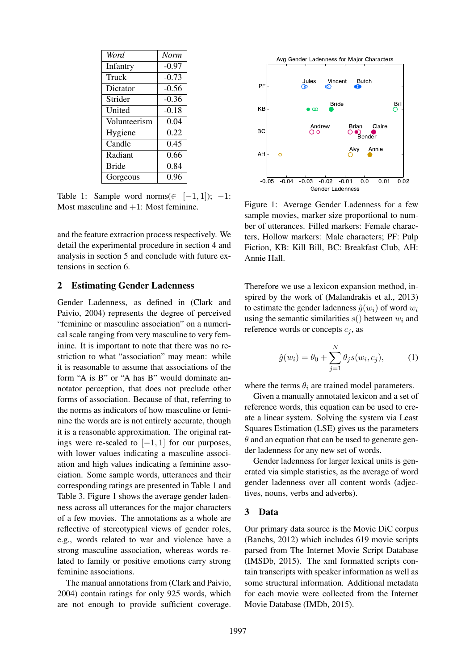| Word         | <b>Norm</b> |
|--------------|-------------|
| Infantry     | $-0.97$     |
| Truck        | $-0.73$     |
| Dictator     | $-0.56$     |
| Strider      | $-0.36$     |
| United       | $-0.18$     |
| Volunteerism | 0.04        |
| Hygiene      | 0.22        |
| Candle       | 0.45        |
| Radiant      | 0.66        |
| <b>Bride</b> | 0.84        |
| Gorgeous     | 0.96        |

Table 1: Sample word norms( $\in$  [-1, 1]); -1: Most masculine and  $+1$ : Most feminine.

and the feature extraction process respectively. We detail the experimental procedure in section 4 and analysis in section 5 and conclude with future extensions in section 6.

#### 2 Estimating Gender Ladenness

Gender Ladenness, as defined in (Clark and Paivio, 2004) represents the degree of perceived "feminine or masculine association" on a numerical scale ranging from very masculine to very feminine. It is important to note that there was no restriction to what "association" may mean: while it is reasonable to assume that associations of the form "A is B" or "A has B" would dominate annotator perception, that does not preclude other forms of association. Because of that, referring to the norms as indicators of how masculine or feminine the words are is not entirely accurate, though it is a reasonable approximation. The original ratings were re-scaled to  $[-1, 1]$  for our purposes, with lower values indicating a masculine association and high values indicating a feminine association. Some sample words, utterances and their corresponding ratings are presented in Table 1 and Table 3. Figure 1 shows the average gender ladenness across all utterances for the major characters of a few movies. The annotations as a whole are reflective of stereotypical views of gender roles, e.g., words related to war and violence have a strong masculine association, whereas words related to family or positive emotions carry strong feminine associations.

The manual annotations from (Clark and Paivio, 2004) contain ratings for only 925 words, which are not enough to provide sufficient coverage.



Figure 1: Average Gender Ladenness for a few sample movies, marker size proportional to number of utterances. Filled markers: Female characters, Hollow markers: Male characters; PF: Pulp Fiction, KB: Kill Bill, BC: Breakfast Club, AH: Annie Hall.

Therefore we use a lexicon expansion method, inspired by the work of (Malandrakis et al., 2013) to estimate the gender ladenness  $\hat{g}(w_i)$  of word  $w_i$ using the semantic similarities  $s()$  between  $w_i$  and reference words or concepts  $c_i$ , as

$$
\hat{g}(w_i) = \theta_0 + \sum_{j=1}^{N} \theta_j s(w_i, c_j),
$$
 (1)

where the terms  $\theta_i$  are trained model parameters.

Given a manually annotated lexicon and a set of reference words, this equation can be used to create a linear system. Solving the system via Least Squares Estimation (LSE) gives us the parameters  $\theta$  and an equation that can be used to generate gender ladenness for any new set of words.

Gender ladenness for larger lexical units is generated via simple statistics, as the average of word gender ladenness over all content words (adjectives, nouns, verbs and adverbs).

#### 3 Data

Our primary data source is the Movie DiC corpus (Banchs, 2012) which includes 619 movie scripts parsed from The Internet Movie Script Database (IMSDb, 2015). The xml formatted scripts contain transcripts with speaker information as well as some structural information. Additional metadata for each movie were collected from the Internet Movie Database (IMDb, 2015).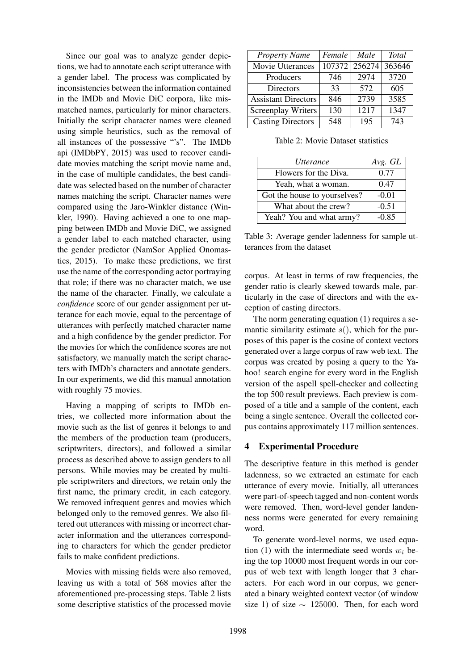Since our goal was to analyze gender depictions, we had to annotate each script utterance with a gender label. The process was complicated by inconsistencies between the information contained in the IMDb and Movie DiC corpora, like mismatched names, particularly for minor characters. Initially the script character names were cleaned using simple heuristics, such as the removal of all instances of the possessive "'s". The IMDb api (IMDbPY, 2015) was used to recover candidate movies matching the script movie name and, in the case of multiple candidates, the best candidate was selected based on the number of character names matching the script. Character names were compared using the Jaro-Winkler distance (Winkler, 1990). Having achieved a one to one mapping between IMDb and Movie DiC, we assigned a gender label to each matched character, using the gender predictor (NamSor Applied Onomastics, 2015). To make these predictions, we first use the name of the corresponding actor portraying that role; if there was no character match, we use the name of the character. Finally, we calculate a *confidence* score of our gender assignment per utterance for each movie, equal to the percentage of utterances with perfectly matched character name and a high confidence by the gender predictor. For the movies for which the confidence scores are not satisfactory, we manually match the script characters with IMDb's characters and annotate genders. In our experiments, we did this manual annotation with roughly 75 movies.

Having a mapping of scripts to IMDb entries, we collected more information about the movie such as the list of genres it belongs to and the members of the production team (producers, scriptwriters, directors), and followed a similar process as described above to assign genders to all persons. While movies may be created by multiple scriptwriters and directors, we retain only the first name, the primary credit, in each category. We removed infrequent genres and movies which belonged only to the removed genres. We also filtered out utterances with missing or incorrect character information and the utterances corresponding to characters for which the gender predictor fails to make confident predictions.

Movies with missing fields were also removed, leaving us with a total of 568 movies after the aforementioned pre-processing steps. Table 2 lists some descriptive statistics of the processed movie

| <b>Property Name</b>       | Female | Male   | <b>Total</b> |
|----------------------------|--------|--------|--------------|
| Movie Utterances           | 107372 | 256274 | 363646       |
| Producers                  | 746    | 2974   | 3720         |
| Directors                  | 33     | 572    | 605          |
| <b>Assistant Directors</b> | 846    | 2739   | 3585         |
| Screenplay Writers         | 130    | 1217   | 1347         |
| <b>Casting Directors</b>   | 548    | 195    | 743          |

Table 2: Movie Dataset statistics

| Utterance                    | Avg. GL |
|------------------------------|---------|
| Flowers for the Diva.        | 0.77    |
| Yeah, what a woman.          | 0.47    |
| Got the house to yourselves? | $-0.01$ |
| What about the crew?         | $-0.51$ |
| Yeah? You and what army?     | $-0.85$ |

Table 3: Average gender ladenness for sample utterances from the dataset

corpus. At least in terms of raw frequencies, the gender ratio is clearly skewed towards male, particularly in the case of directors and with the exception of casting directors.

The norm generating equation (1) requires a semantic similarity estimate  $s($ ), which for the purposes of this paper is the cosine of context vectors generated over a large corpus of raw web text. The corpus was created by posing a query to the Yahoo! search engine for every word in the English version of the aspell spell-checker and collecting the top 500 result previews. Each preview is composed of a title and a sample of the content, each being a single sentence. Overall the collected corpus contains approximately 117 million sentences.

# 4 Experimental Procedure

The descriptive feature in this method is gender ladenness, so we extracted an estimate for each utterance of every movie. Initially, all utterances were part-of-speech tagged and non-content words were removed. Then, word-level gender landenness norms were generated for every remaining word.

To generate word-level norms, we used equation (1) with the intermediate seed words  $w_i$  being the top 10000 most frequent words in our corpus of web text with length longer that 3 characters. For each word in our corpus, we generated a binary weighted context vector (of window size 1) of size  $\sim$  125000. Then, for each word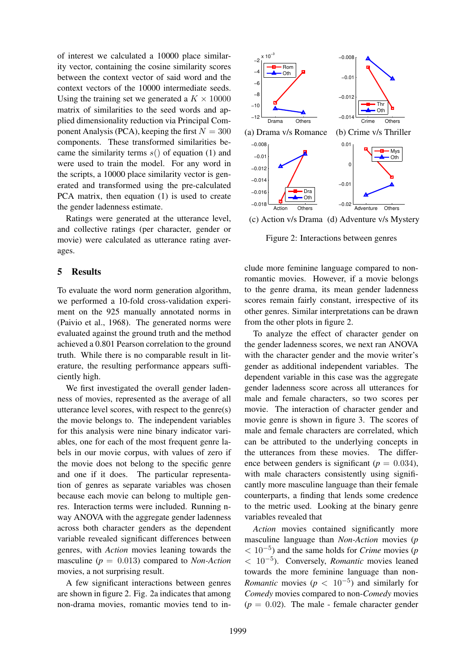of interest we calculated a 10000 place similarity vector, containing the cosine similarity scores between the context vector of said word and the context vectors of the 10000 intermediate seeds. Using the training set we generated a  $K \times 10000$ matrix of similarities to the seed words and applied dimensionality reduction via Principal Component Analysis (PCA), keeping the first  $N = 300$ components. These transformed similarities became the similarity terms  $s()$  of equation (1) and were used to train the model. For any word in the scripts, a 10000 place similarity vector is generated and transformed using the pre-calculated PCA matrix, then equation (1) is used to create the gender ladenness estimate.

Ratings were generated at the utterance level, and collective ratings (per character, gender or movie) were calculated as utterance rating averages.

## 5 Results

To evaluate the word norm generation algorithm, we performed a 10-fold cross-validation experiment on the 925 manually annotated norms in (Paivio et al., 1968). The generated norms were evaluated against the ground truth and the method achieved a 0.801 Pearson correlation to the ground truth. While there is no comparable result in literature, the resulting performance appears sufficiently high.

We first investigated the overall gender ladenness of movies, represented as the average of all utterance level scores, with respect to the genre(s) the movie belongs to. The independent variables for this analysis were nine binary indicator variables, one for each of the most frequent genre labels in our movie corpus, with values of zero if the movie does not belong to the specific genre and one if it does. The particular representation of genres as separate variables was chosen because each movie can belong to multiple genres. Interaction terms were included. Running nway ANOVA with the aggregate gender ladenness across both character genders as the dependent variable revealed significant differences between genres, with *Action* movies leaning towards the masculine (*p* = 0.013) compared to *Non-Action* movies, a not surprising result.

A few significant interactions between genres are shown in figure 2. Fig. 2a indicates that among non-drama movies, romantic movies tend to in-



(c) Action v/s Drama (d) Adventure v/s Mystery

Figure 2: Interactions between genres

clude more feminine language compared to nonromantic movies. However, if a movie belongs to the genre drama, its mean gender ladenness scores remain fairly constant, irrespective of its other genres. Similar interpretations can be drawn from the other plots in figure 2.

To analyze the effect of character gender on the gender ladenness scores, we next ran ANOVA with the character gender and the movie writer's gender as additional independent variables. The dependent variable in this case was the aggregate gender ladenness score across all utterances for male and female characters, so two scores per movie. The interaction of character gender and movie genre is shown in figure 3. The scores of male and female characters are correlated, which can be attributed to the underlying concepts in the utterances from these movies. The difference between genders is significant ( $p = 0.034$ ), with male characters consistently using significantly more masculine language than their female counterparts, a finding that lends some credence to the metric used. Looking at the binary genre variables revealed that

*Action* movies contained significantly more masculine language than *Non-Action* movies (*p* < 10−<sup>5</sup> ) and the same holds for *Crime* movies (*p* < 10−<sup>5</sup> ). Conversely, *Romantic* movies leaned towards the more feminine language than non-*Romantic* movies  $(p < 10^{-5})$  and similarly for *Comedy* movies compared to non-*Comedy* movies  $(p = 0.02)$ . The male - female character gender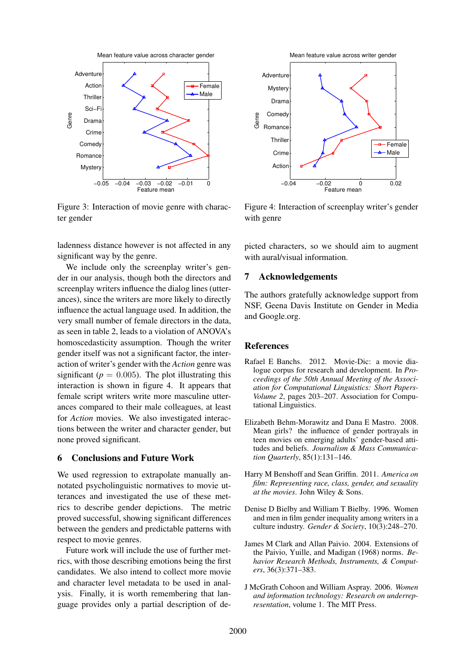

Figure 3: Interaction of movie genre with character gender

ladenness distance however is not affected in any significant way by the genre.

We include only the screenplay writer's gender in our analysis, though both the directors and screenplay writers influence the dialog lines (utterances), since the writers are more likely to directly influence the actual language used. In addition, the very small number of female directors in the data, as seen in table 2, leads to a violation of ANOVA's homoscedasticity assumption. Though the writer gender itself was not a significant factor, the interaction of writer's gender with the *Action* genre was significant ( $p = 0.005$ ). The plot illustrating this interaction is shown in figure 4. It appears that female script writers write more masculine utterances compared to their male colleagues, at least for *Action* movies. We also investigated interactions between the writer and character gender, but none proved significant.

## 6 Conclusions and Future Work

We used regression to extrapolate manually annotated psycholinguistic normatives to movie utterances and investigated the use of these metrics to describe gender depictions. The metric proved successful, showing significant differences between the genders and predictable patterns with respect to movie genres.

Future work will include the use of further metrics, with those describing emotions being the first candidates. We also intend to collect more movie and character level metadata to be used in analysis. Finally, it is worth remembering that language provides only a partial description of de-



Figure 4: Interaction of screenplay writer's gender with genre

picted characters, so we should aim to augment with aural/visual information.

# 7 Acknowledgements

The authors gratefully acknowledge support from NSF, Geena Davis Institute on Gender in Media and Google.org.

## **References**

- Rafael E Banchs. 2012. Movie-Dic: a movie dialogue corpus for research and development. In *Proceedings of the 50th Annual Meeting of the Association for Computational Linguistics: Short Papers-Volume 2*, pages 203–207. Association for Computational Linguistics.
- Elizabeth Behm-Morawitz and Dana E Mastro. 2008. Mean girls? the influence of gender portrayals in teen movies on emerging adults' gender-based attitudes and beliefs. *Journalism & Mass Communication Quarterly*, 85(1):131–146.
- Harry M Benshoff and Sean Griffin. 2011. *America on film: Representing race, class, gender, and sexuality at the movies*. John Wiley & Sons.
- Denise D Bielby and William T Bielby. 1996. Women and men in film gender inequality among writers in a culture industry. *Gender & Society*, 10(3):248–270.
- James M Clark and Allan Paivio. 2004. Extensions of the Paivio, Yuille, and Madigan (1968) norms. *Behavior Research Methods, Instruments, & Computers*, 36(3):371–383.
- J McGrath Cohoon and William Aspray. 2006. *Women and information technology: Research on underrepresentation*, volume 1. The MIT Press.